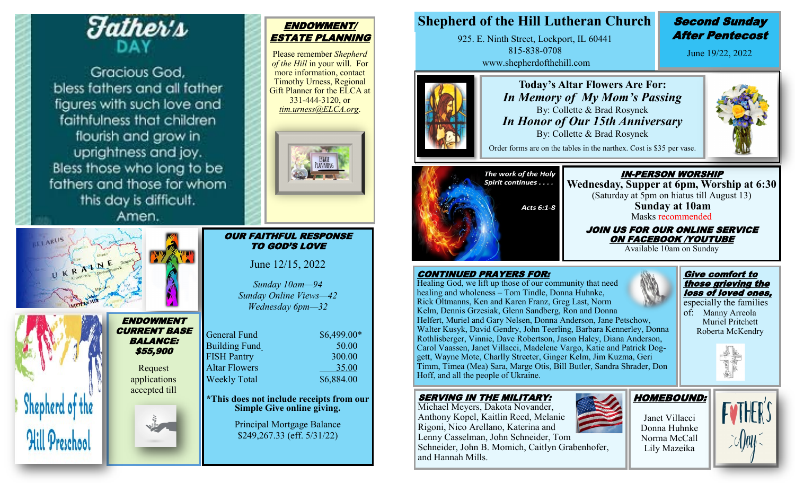

Gracious God. bless fathers and all father figures with such love and faithfulness that children flourish and grow in uprightness and joy. Bless those who long to be fathers and those for whom this day is difficult.

Amen.

| Oniprop<br>Kirovo |                                      |
|-------------------|--------------------------------------|
|                   | <b>ENDOWMEN</b><br><b>CURRENT BA</b> |

#### $\boldsymbol{\tau}$ SE BALANCE: \$55,900

Request applications accepted till

4



# ENDOWMENT/ ESTATE PLANNING

Please remember *Shepherd of the Hill* in your will. For more information, contact Timothy Urness, Regional Gift Planner for the ELCA at 331-444-3120, or *tim.urness@ELCA.org*.



#### OUR FAITHFUL RESPONSE TO GOD'S LOVE

June 12/15, 2022

*Sunday 10am—94 Sunday Online Views—42 Wednesday 6pm—32*

| General Fund         | \$6,499.00* |
|----------------------|-------------|
| <b>Building Fund</b> | 50.00       |
| <b>FISH Pantry</b>   | 300.00      |
| <b>Altar Flowers</b> | 35.00       |
| <b>Weekly Total</b>  | \$6,884.00  |
|                      |             |

**\*This does not include receipts from our Simple Give online giving.**

> Principal Mortgage Balance \$249,267.33 (eff. 5/31/22)

# **Shepherd of the Hill Lutheran Church Second Sunday**

925. E. Ninth Street, Lockport, IL 60441 815-838-0708 www.shepherdofthehill.com

# After Pentecost

June 19/22, 2022

Give comfort to those grieving the loss of loved ones, especially the families of: Manny Arreola Muriel Pritchett Roberta McKendry



. **Today's Altar Flowers Are For:** *In Memory of My Mom's Passing* By: Collette & Brad Rosynek *In Honor of Our 15th Anniversary* By: Collette & Brad Rosynek

Order forms are on the tables in the narthex. Cost is \$35 per vase.



IN-PERSON WORSHIP **Wednesday, Supper at 6pm, Worship at 6:30** (Saturday at 5pm on hiatus till August 13) **Sunday at 10am**  Masks recommended JOIN US FOR OUR ONLINE SERVICE

ON FACEBOOK /YOUTUBE

Available 10am on Sunday

#### CONTINUED PRAYERS FOR:

Healing God, we lift up those of our community that need healing and wholeness – Tom Tindle, Donna Huhnke, Rick Oltmanns, Ken and Karen Franz, Greg Last, Norm Kelm, Dennis Grzesiak, Glenn Sandberg, Ron and Donna Helfert, Muriel and Gary Nelsen, Donna Anderson, Jane Petschow, Walter Kusyk, David Gendry, John Teerling, Barbara Kennerley, Donna Rothlisberger, Vinnie, Dave Robertson, Jason Haley, Diana Anderson, Carol Vaassen, Janet Villacci, Madelene Vargo, Katie and Patrick Doggett, Wayne Mote, Charlly Streeter, Ginger Kelm, Jim Kuzma, Geri Timm, Timea (Mea) Sara, Marge Otis, Bill Butler, Sandra Shrader, Don Hoff, and all the people of Ukraine.

#### SERVING IN THE MILITARY:

Michael Meyers, Dakota Novander, Anthony Kopel, Kaitlin Reed, Melanie Rigoni, Nico Arellano, Katerina and Lenny Casselman, John Schneider, Tom Schneider, John B. Momich, Caitlyn Grabenhofer, and Hannah Mills.



Janet Villacci Donna Huhnke Norma McCall Lily Mazeika